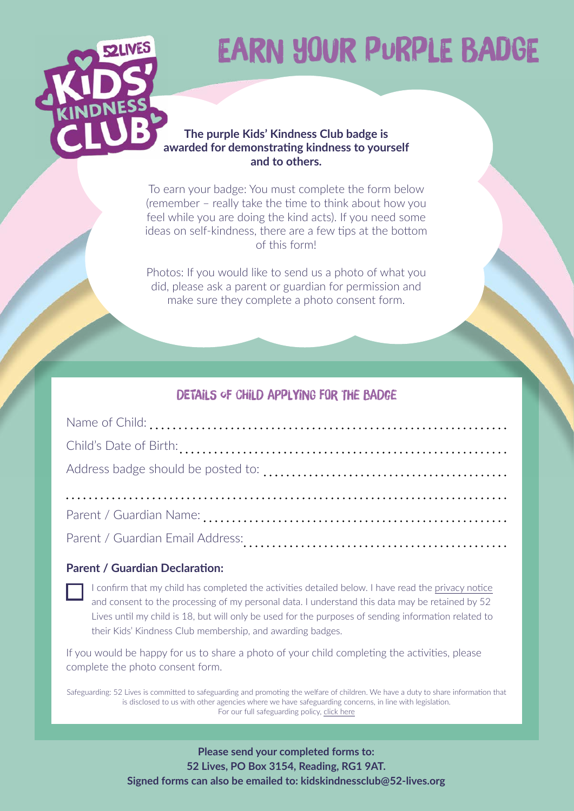

# EARN YOUR PURPLE BADGE

#### **The purple Kids' Kindness Club badge is awarded for demonstrating kindness to yourself and to others.**

To earn your badge: You must complete the form below (remember – really take the time to think about how you feel while you are doing the kind acts). If you need some ideas on self-kindness, there are a few tips at the bottom of this form!

Photos: If you would like to send us a photo of what you did, please ask a parent or guardian for permission and make sure they complete a photo consent form.

## DETAILS OF CHILD APPLYING FOR THE BADGE

| Parent / Guardian Email Address: |  |  |
|----------------------------------|--|--|

#### **Parent / Guardian Declaration:**

I confirm that my child has completed the activities detailed below. I have read the [privacy notice](https://schoolofkindness.org/privacy-policy) and consent to the processing of my personal data. I understand this data may be retained by 52 Lives until my child is 18, but will only be used for the purposes of sending information related to their Kids' Kindness Club membership, and awarding badges.

If you would be happy for us to share a photo of your child completing the activities, please complete the photo consent form.

Safeguarding: 52 Lives is committed to safeguarding and promoting the welfare of children. We have a duty to share information that is disclosed to us with other agencies where we have safeguarding concerns, in line with legislation. For our full safeguarding policy, [click here](https://schoolofkindness.org/wp-content/uploads/2022/02/PDF-for-website-52-Lives-Safeguarding-Children-and-Vulnerable-Adults-Policy-and-Procedure_2022.pdf)

- 1 - © 2022, 52 Lives. All rights reserved. **Signed forms can also be emailed to: [kidskindnessclub@52-lives.org](mailto:kidskindnessclub%4052-lives.org?subject=Purple%20Badge%20Form)Please send your completed forms to: 52 Lives, PO Box 3154, Reading, RG1 9AT.**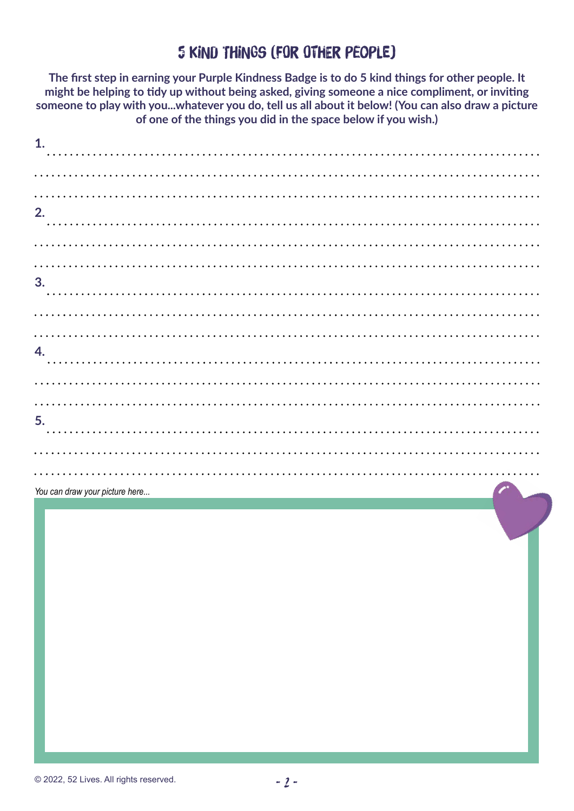## 5 kind things (for other people)

**The first step in earning your Purple Kindness Badge is to do 5 kind things for other people. It might be helping to tidy up without being asked, giving someone a nice compliment, or inviting someone to play with you...whatever you do, tell us all about it below! (You can also draw a picture of one of the things you did in the space below if you wish.)**

| 1. |  |  |
|----|--|--|
|    |  |  |
|    |  |  |
| 2. |  |  |
|    |  |  |
|    |  |  |
|    |  |  |
| 3. |  |  |
|    |  |  |
|    |  |  |
|    |  |  |
| 4. |  |  |
|    |  |  |
|    |  |  |
|    |  |  |
| 5. |  |  |
|    |  |  |
|    |  |  |
|    |  |  |

*You can draw your picture here...*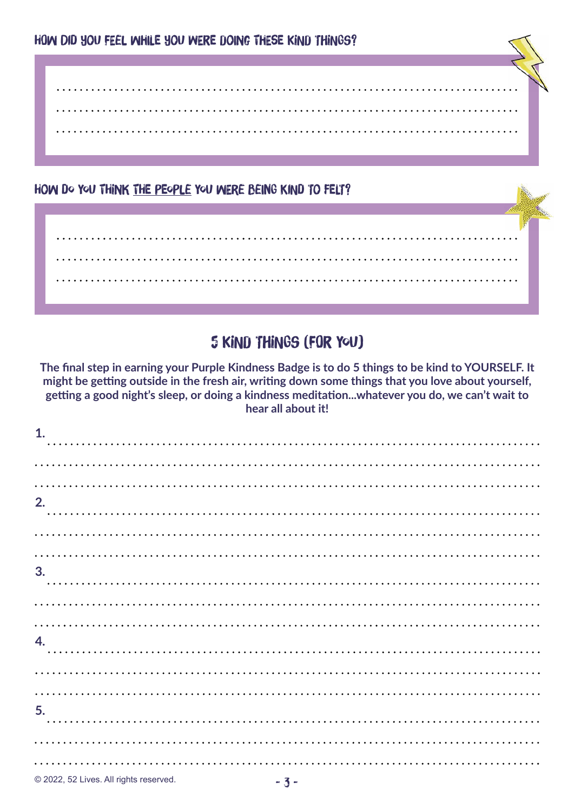. . . . . . . . . . . . . . . . . 

## HOW DO YOU THINK THE PEOPLE YOU WERE BEING KIND TO FELT?

# 5 kind things (for YOU)

**The final step in earning your Purple Kindness Badge is to do 5 things to be kind to YOURSELF. It might be getting outside in the fresh air, writing down some things that you love about yourself, getting a good night's sleep, or doing a kindness meditation...whatever you do, we can't wait to hear all about it!** 

| 1. |           |                 |  |  |  |  |  |  |  |  |  |  |  |  |  |
|----|-----------|-----------------|--|--|--|--|--|--|--|--|--|--|--|--|--|
|    |           |                 |  |  |  |  |  |  |  |  |  |  |  |  |  |
|    |           |                 |  |  |  |  |  |  |  |  |  |  |  |  |  |
|    |           |                 |  |  |  |  |  |  |  |  |  |  |  |  |  |
| 2. |           |                 |  |  |  |  |  |  |  |  |  |  |  |  |  |
|    |           |                 |  |  |  |  |  |  |  |  |  |  |  |  |  |
|    |           |                 |  |  |  |  |  |  |  |  |  |  |  |  |  |
|    |           |                 |  |  |  |  |  |  |  |  |  |  |  |  |  |
| 3. |           |                 |  |  |  |  |  |  |  |  |  |  |  |  |  |
|    |           |                 |  |  |  |  |  |  |  |  |  |  |  |  |  |
|    |           |                 |  |  |  |  |  |  |  |  |  |  |  |  |  |
| 4. |           |                 |  |  |  |  |  |  |  |  |  |  |  |  |  |
|    |           |                 |  |  |  |  |  |  |  |  |  |  |  |  |  |
|    |           |                 |  |  |  |  |  |  |  |  |  |  |  |  |  |
|    |           |                 |  |  |  |  |  |  |  |  |  |  |  |  |  |
| 5. |           |                 |  |  |  |  |  |  |  |  |  |  |  |  |  |
|    |           |                 |  |  |  |  |  |  |  |  |  |  |  |  |  |
|    |           |                 |  |  |  |  |  |  |  |  |  |  |  |  |  |
|    |           |                 |  |  |  |  |  |  |  |  |  |  |  |  |  |
|    | 0.0000000 | <b>ALCOHOL:</b> |  |  |  |  |  |  |  |  |  |  |  |  |  |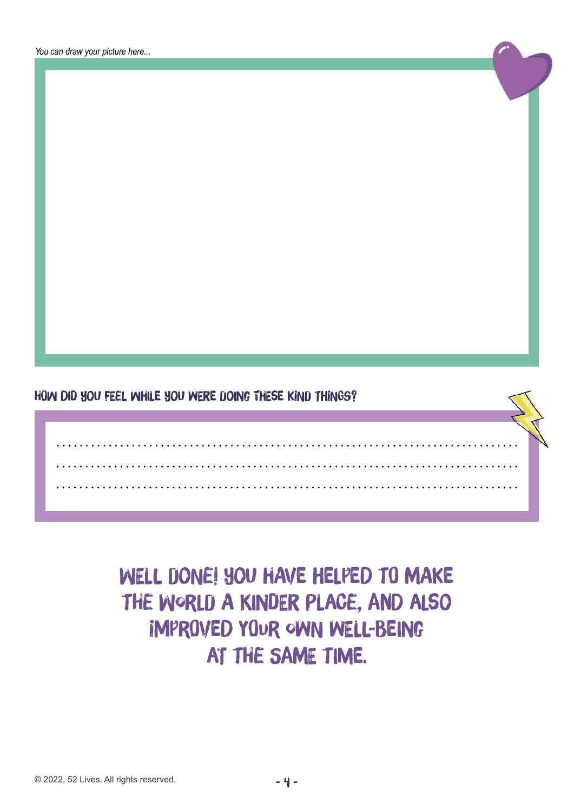*You can draw your picture here...*

How did you feel while you were doing these kind things?

WELL DONE! YOU HAVE HELPED TO MAKE the world a kinder place, and also improved your own well-being at the same time.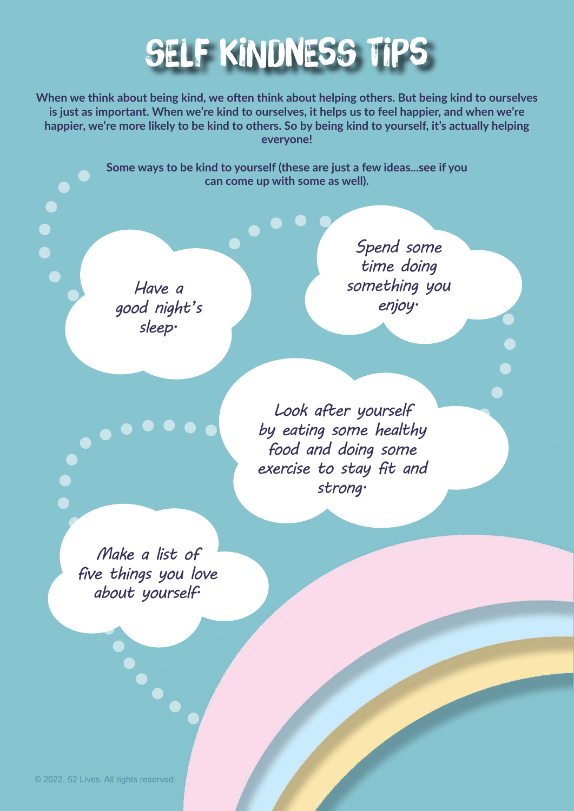

**When we think about being kind, we often think about helping others. But being kind to ourselves is just as important. When we're kind to ourselves, it helps us to feel happier, and when we're happier, we're more likely to be kind to others. So by being kind to yourself, it's actually helping everyone!** 

> **Some ways to be kind to yourself (these are just a few ideas...see if you can come up with some as well).**

*Have a good night's sleep.*

*Spend some time doing something you enjoy.*

*Look after yourself by eating some healthy food and doing some exercise to stay fit and strong.*

*Make a list of five things you love about yourself.*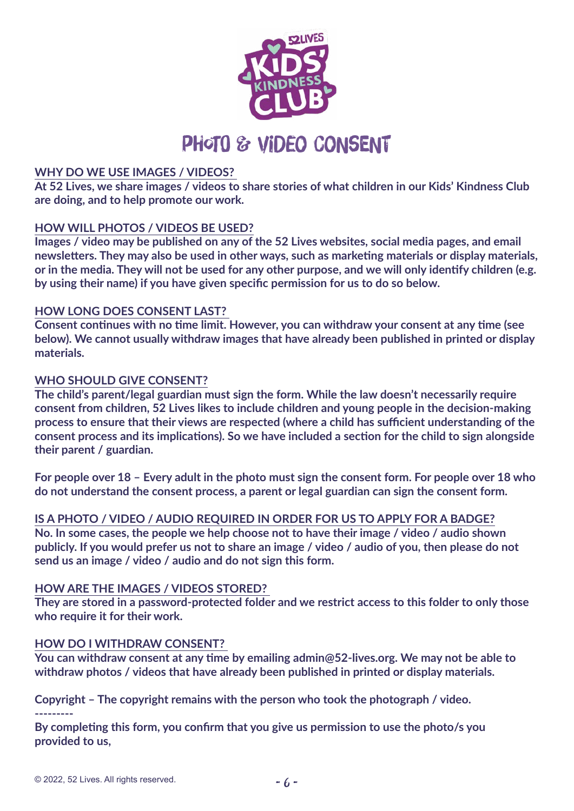

#### **WHY DO WE USE IMAGES / VIDEOS?**

**At 52 Lives, we share images / videos to share stories of what children in our Kids' Kindness Club are doing, and to help promote our work.**

#### **HOW WILL PHOTOS / VIDEOS BE USED?**

**Images / video may be published on any of the 52 Lives websites, social media pages, and email newsletters. They may also be used in other ways, such as marketing materials or display materials, or in the media. They will not be used for any other purpose, and we will only identify children (e.g. by using their name) if you have given specific permission for us to do so below.**

#### **HOW LONG DOES CONSENT LAST?**

**Consent continues with no time limit. However, you can withdraw your consent at any time (see below). We cannot usually withdraw images that have already been published in printed or display materials.**

#### **WHO SHOULD GIVE CONSENT?**

**The child's parent/legal guardian must sign the form. While the law doesn't necessarily require consent from children, 52 Lives likes to include children and young people in the decision-making process to ensure that their views are respected (where a child has sufficient understanding of the consent process and its implications). So we have included a section for the child to sign alongside their parent / guardian.**

**For people over 18 – Every adult in the photo must sign the consent form. For people over 18 who do not understand the consent process, a parent or legal guardian can sign the consent form.**

#### **IS A PHOTO / VIDEO / AUDIO REQUIRED IN ORDER FOR US TO APPLY FOR A BADGE?**

**No. In some cases, the people we help choose not to have their image / video / audio shown publicly. If you would prefer us not to share an image / video / audio of you, then please do not send us an image / video / audio and do not sign this form.**

#### **HOW ARE THE IMAGES / VIDEOS STORED?**

**They are stored in a password-protected folder and we restrict access to this folder to only those who require it for their work.**

#### **HOW DO I WITHDRAW CONSENT?**

**You can withdraw consent at any time by emailing [admin@52-lives.org.](mailto:admin%4052-lives.org?subject=Photo%20/%20Video%20Consent) We may not be able to withdraw photos / videos that have already been published in printed or display materials.**

**Copyright – The copyright remains with the person who took the photograph / video. ---------**

**By completing this form, you confirm that you give us permission to use the photo/s you provided to us,**